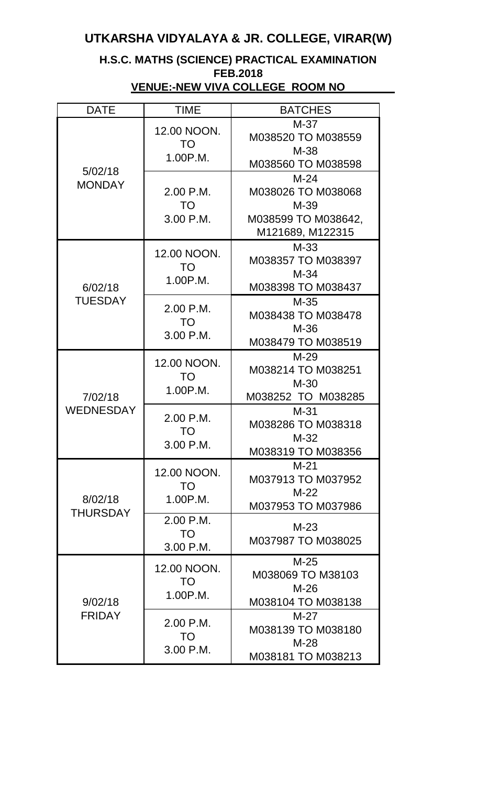## **UTKARSHA VIDYALAYA & JR. COLLEGE, VIRAR(W)**

## **H.S.C. MATHS (SCIENCE) PRACTICAL EXAMINATION FEB.2018 VENUE:-NEW VIVA COLLEGE ROOM NO**

| <b>DATE</b>                 | <b>TIME</b>                         | <b>BATCHES</b>                                                                    |
|-----------------------------|-------------------------------------|-----------------------------------------------------------------------------------|
| 5/02/18<br><b>MONDAY</b>    | 12.00 NOON.<br>TO<br>1.00P.M.       | $M-37$<br>M038520 TO M038559<br>$M-38$<br>M038560 TO M038598                      |
|                             | 2.00 P.M.<br><b>TO</b><br>3.00 P.M. | $M-24$<br>M038026 TO M038068<br>$M-39$<br>M038599 TO M038642,<br>M121689, M122315 |
| 6/02/18<br><b>TUESDAY</b>   | 12.00 NOON.<br>TO<br>1.00P.M.       | $M-33$<br>M038357 TO M038397<br>$M-34$<br>M038398 TO M038437                      |
|                             | 2.00 P.M.<br>TO<br>3.00 P.M.        | $M-35$<br>M038438 TO M038478<br>$M-36$<br>M038479 TO M038519                      |
| 7/02/18<br><b>WEDNESDAY</b> | 12.00 NOON.<br>TO.<br>1.00P.M.      | $M-29$<br>M038214 TO M038251<br>$M-30$<br>M038252 TO M038285                      |
|                             | 2.00 P.M.<br><b>TO</b><br>3.00 P.M. | $M-31$<br>M038286 TO M038318<br>$M-32$<br>M038319 TO M038356                      |
| 8/02/18<br><b>THURSDAY</b>  | 12.00 NOON.<br>TO.<br>1.00P.M.      | $M-21$<br>M037913 TO M037952<br>$M-22$<br>M037953 TO M037986                      |
|                             | 2.00 P.M.<br>TO<br>3.00 P.M.        | $M-23$<br>M037987 TO M038025                                                      |
| 9/02/18<br><b>FRIDAY</b>    | 12.00 NOON.<br>TO<br>1.00P.M.       | $M-25$<br>M038069 TO M38103<br>$M-26$<br>M038104 TO M038138                       |
|                             | 2.00 P.M.<br>TO<br>3.00 P.M.        | $M-27$<br>M038139 TO M038180<br>$M-28$<br>M038181 TO M038213                      |